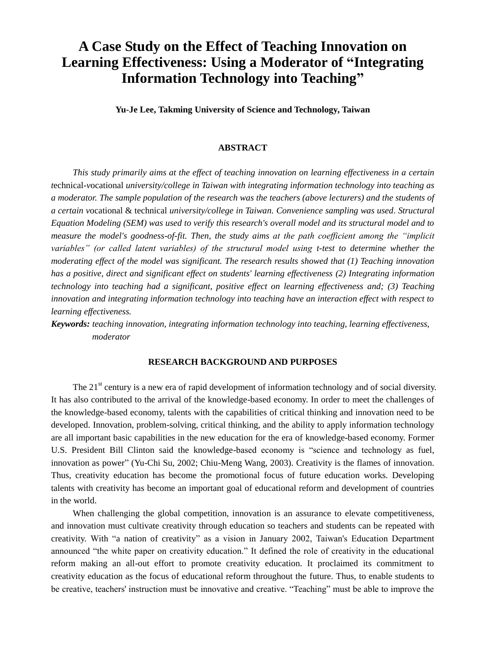# **A Case Study on the Effect of Teaching Innovation on Learning Effectiveness: Using a Moderator of "Integrating Information Technology into Teaching"**

**Yu-Je Lee, Takming University of Science and Technology, Taiwan**

#### **ABSTRACT**

*This study primarily aims at the effect of teaching innovation on learning effectiveness in a certain t*echnical*-v*ocational *university/college in Taiwan with integrating information technology into teaching as a moderator. The sample population of the research was the teachers (above lecturers) and the students of a certain v*ocational & technical *university/college in Taiwan. Convenience sampling was used. Structural Equation Modeling (SEM) was used to verify this research's overall model and its structural model and to measure the model's goodness-of-fit. Then, the study aims at the path coefficient among the "implicit variables" (or called latent variables) of the structural model using t-test to determine whether the moderating effect of the model was significant. The research results showed that (1) Teaching innovation has a positive, direct and significant effect on students' learning effectiveness (2) Integrating information technology into teaching had a significant, positive effect on learning effectiveness and; (3) Teaching innovation and integrating information technology into teaching have an interaction effect with respect to learning effectiveness.*

*Keywords: teaching innovation, integrating information technology into teaching, learning effectiveness, moderator*

# **RESEARCH BACKGROUND AND PURPOSES**

The  $21<sup>st</sup>$  century is a new era of rapid development of information technology and of social diversity. It has also contributed to the arrival of the knowledge-based economy. In order to meet the challenges of the knowledge-based economy, talents with the capabilities of critical thinking and innovation need to be developed. Innovation, problem-solving, critical thinking, and the ability to apply information technology are all important basic capabilities in the new education for the era of knowledge-based economy. Former U.S. President Bill Clinton said the knowledge-based economy is "science and technology as fuel, innovation as power" (Yu-Chi Su, 2002; Chiu-Meng Wang, 2003). Creativity is the flames of innovation. Thus, creativity education has become the promotional focus of future education works. Developing talents with creativity has become an important goal of educational reform and development of countries in the world.

When challenging the global competition, innovation is an assurance to elevate competitiveness, and innovation must cultivate creativity through education so teachers and students can be repeated with creativity. With "a nation of creativity" as a vision in January 2002, Taiwan's Education Department announced "the white paper on creativity education." It defined the role of creativity in the educational reform making an all-out effort to promote creativity education. It proclaimed its commitment to creativity education as the focus of educational reform throughout the future. Thus, to enable students to be creative, teachers' instruction must be innovative and creative. "Teaching" must be able to improve the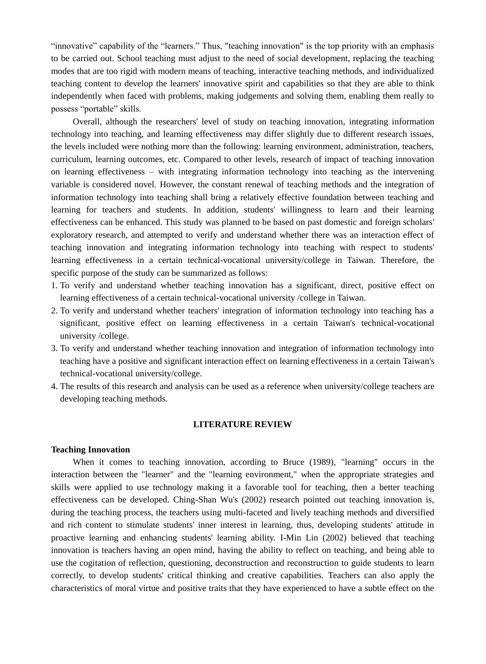"innovative" capability of the "learners." Thus, "teaching innovation" is the top priority with an emphasis to be carried out. School teaching must adjust to the need of social development, replacing the teaching modes that are too rigid with modern means of teaching, interactive teaching methods, and individualized teaching content to develop the learners' innovative spirit and capabilities so that they are able to think independently when faced with problems, making judgements and solving them, enabling them really to possess "portable" skills.

Overall, although the researchers' level of study on teaching innovation, integrating information technology into teaching, and learning effectiveness may differ slightly due to different research issues, the levels included were nothing more than the following: learning environment, administration, teachers, curriculum, learning outcomes, etc. Compared to other levels, research of impact of teaching innovation on learning effectiveness – with integrating information technology into teaching as the intervening variable is considered novel. However, the constant renewal of teaching methods and the integration of information technology into teaching shall bring a relatively effective foundation between teaching and learning for teachers and students. In addition, students' willingness to learn and their learning effectiveness can be enhanced. This study was planned to be based on past domestic and foreign scholars' exploratory research, and attempted to verify and understand whether there was an interaction effect of teaching innovation and integrating information technology into teaching with respect to students' learning effectiveness in a certain technical-vocational university/college in Taiwan. Therefore, the specific purpose of the study can be summarized as follows:

- 1. To verify and understand whether teaching innovation has a significant, direct, positive effect on learning effectiveness of a certain technical-vocational university /college in Taiwan.
- 2. To verify and understand whether teachers' integration of information technology into teaching has a significant, positive effect on learning effectiveness in a certain Taiwan's technical-vocational university /college.
- 3. To verify and understand whether teaching innovation and integration of information technology into teaching have a positive and significant interaction effect on learning effectiveness in a certain Taiwan's technical-vocational university/college.
- 4. The results of this research and analysis can be used as a reference when university/college teachers are developing teaching methods.

#### **LITERATURE REVIEW**

#### **Teaching Innovation**

When it comes to teaching innovation, according to Bruce (1989), "learning" occurs in the interaction between the "learner" and the "learning environment," when the appropriate strategies and skills were applied to use technology making it a favorable tool for teaching, then a better teaching effectiveness can be developed. Ching-Shan Wu's (2002) research pointed out teaching innovation is, during the teaching process, the teachers using multi-faceted and lively teaching methods and diversified and rich content to stimulate students' inner interest in learning, thus, developing students' attitude in proactive learning and enhancing students' learning ability. I-Min Lin (2002) believed that teaching innovation is teachers having an open mind, having the ability to reflect on teaching, and being able to use the cogitation of reflection, questioning, deconstruction and reconstruction to guide students to learn correctly, to develop students' critical thinking and creative capabilities. Teachers can also apply the characteristics of moral virtue and positive traits that they have experienced to have a subtle effect on the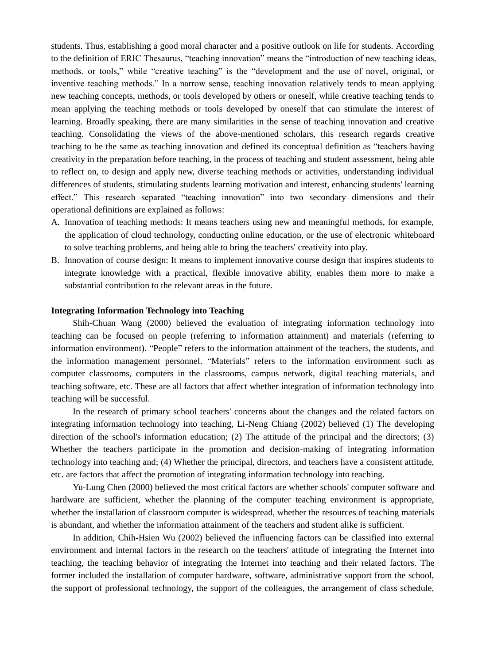students. Thus, establishing a good moral character and a positive outlook on life for students. According to the definition of ERIC Thesaurus, "teaching innovation" means the "introduction of new teaching ideas, methods, or tools," while "creative teaching" is the "development and the use of novel, original, or inventive teaching methods." In a narrow sense, teaching innovation relatively tends to mean applying new teaching concepts, methods, or tools developed by others or oneself, while creative teaching tends to mean applying the teaching methods or tools developed by oneself that can stimulate the interest of learning. Broadly speaking, there are many similarities in the sense of teaching innovation and creative teaching. Consolidating the views of the above-mentioned scholars, this research regards creative teaching to be the same as teaching innovation and defined its conceptual definition as "teachers having creativity in the preparation before teaching, in the process of teaching and student assessment, being able to reflect on, to design and apply new, diverse teaching methods or activities, understanding individual differences of students, stimulating students learning motivation and interest, enhancing students' learning effect." This research separated "teaching innovation" into two secondary dimensions and their operational definitions are explained as follows:

- A. Innovation of teaching methods: It means teachers using new and meaningful methods, for example, the application of cloud technology, conducting online education, or the use of electronic whiteboard to solve teaching problems, and being able to bring the teachers' creativity into play.
- B. Innovation of course design: It means to implement innovative course design that inspires students to integrate knowledge with a practical, flexible innovative ability, enables them more to make a substantial contribution to the relevant areas in the future.

## **Integrating Information Technology into Teaching**

Shih-Chuan Wang (2000) believed the evaluation of integrating information technology into teaching can be focused on people (referring to information attainment) and materials (referring to information environment). "People" refers to the information attainment of the teachers, the students, and the information management personnel. "Materials" refers to the information environment such as computer classrooms, computers in the classrooms, campus network, digital teaching materials, and teaching software, etc. These are all factors that affect whether integration of information technology into teaching will be successful.

In the research of primary school teachers' concerns about the changes and the related factors on integrating information technology into teaching, Li-Neng Chiang (2002) believed (1) The developing direction of the school's information education; (2) The attitude of the principal and the directors; (3) Whether the teachers participate in the promotion and decision-making of integrating information technology into teaching and; (4) Whether the principal, directors, and teachers have a consistent attitude, etc. are factors that affect the promotion of integrating information technology into teaching.

Yu-Lung Chen (2000) believed the most critical factors are whether schools' computer software and hardware are sufficient, whether the planning of the computer teaching environment is appropriate, whether the installation of classroom computer is widespread, whether the resources of teaching materials is abundant, and whether the information attainment of the teachers and student alike is sufficient.

In addition, Chih-Hsien Wu (2002) believed the influencing factors can be classified into external environment and internal factors in the research on the teachers' attitude of integrating the Internet into teaching, the teaching behavior of integrating the Internet into teaching and their related factors. The former included the installation of computer hardware, software, administrative support from the school, the support of professional technology, the support of the colleagues, the arrangement of class schedule,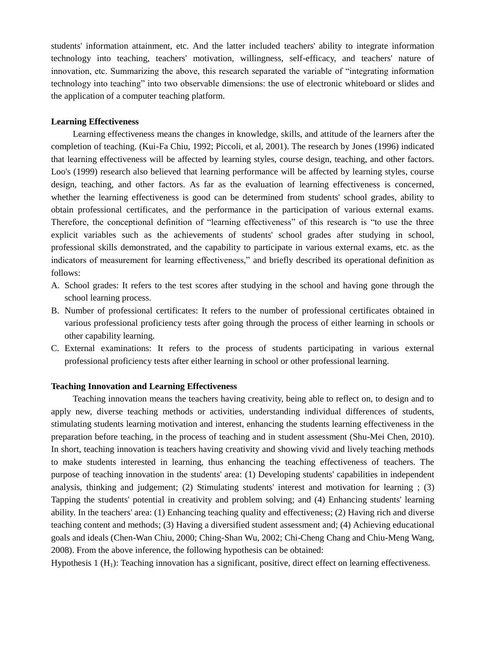students' information attainment, etc. And the latter included teachers' ability to integrate information technology into teaching, teachers' motivation, willingness, self-efficacy, and teachers' nature of innovation, etc. Summarizing the above, this research separated the variable of "integrating information technology into teaching" into two observable dimensions: the use of electronic whiteboard or slides and the application of a computer teaching platform.

#### **Learning Effectiveness**

Learning effectiveness means the changes in knowledge, skills, and attitude of the learners after the completion of teaching. (Kui-Fa Chiu, 1992; Piccoli, et al, 2001). The research by Jones (1996) indicated that learning effectiveness will be affected by learning styles, course design, teaching, and other factors. Loo's (1999) research also believed that learning performance will be affected by learning styles, course design, teaching, and other factors. As far as the evaluation of learning effectiveness is concerned, whether the learning effectiveness is good can be determined from students' school grades, ability to obtain professional certificates, and the performance in the participation of various external exams. Therefore, the conceptional definition of "learning effectiveness" of this research is "to use the three explicit variables such as the achievements of students' school grades after studying in school, professional skills demonstrated, and the capability to participate in various external exams, etc. as the indicators of measurement for learning effectiveness," and briefly described its operational definition as follows:

- A. School grades: It refers to the test scores after studying in the school and having gone through the school learning process.
- B. Number of professional certificates: It refers to the number of professional certificates obtained in various professional proficiency tests after going through the process of either learning in schools or other capability learning.
- C. External examinations: It refers to the process of students participating in various external professional proficiency tests after either learning in school or other professional learning.

#### **Teaching Innovation and Learning Effectiveness**

Teaching innovation means the teachers having creativity, being able to reflect on, to design and to apply new, diverse teaching methods or activities, understanding individual differences of students, stimulating students learning motivation and interest, enhancing the students learning effectiveness in the preparation before teaching, in the process of teaching and in student assessment (Shu-Mei Chen, 2010). In short, teaching innovation is teachers having creativity and showing vivid and lively teaching methods to make students interested in learning, thus enhancing the teaching effectiveness of teachers. The purpose of teaching innovation in the students' area: (1) Developing students' capabilities in independent analysis, thinking and judgement; (2) Stimulating students' interest and motivation for learning ; (3) Tapping the students' potential in creativity and problem solving; and (4) Enhancing students' learning ability. In the teachers' area: (1) Enhancing teaching quality and effectiveness; (2) Having rich and diverse teaching content and methods; (3) Having a diversified student assessment and; (4) Achieving educational goals and ideals (Chen-Wan Chiu, 2000; Ching-Shan Wu, 2002; Chi-Cheng Chang and Chiu-Meng Wang, 2008). From the above inference, the following hypothesis can be obtained:

Hypothesis 1  $(H<sub>1</sub>)$ : Teaching innovation has a significant, positive, direct effect on learning effectiveness.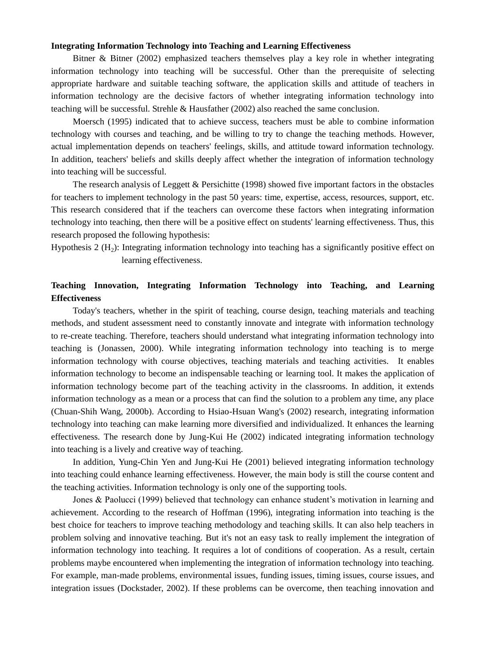#### **Integrating Information Technology into Teaching and Learning Effectiveness**

Bitner & Bitner (2002) emphasized teachers themselves play a key role in whether integrating information technology into teaching will be successful. Other than the prerequisite of selecting appropriate hardware and suitable teaching software, the application skills and attitude of teachers in information technology are the decisive factors of whether integrating information technology into teaching will be successful. Strehle & Hausfather (2002) also reached the same conclusion.

Moersch (1995) indicated that to achieve success, teachers must be able to combine information technology with courses and teaching, and be willing to try to change the teaching methods. However, actual implementation depends on teachers' feelings, skills, and attitude toward information technology. In addition, teachers' beliefs and skills deeply affect whether the integration of information technology into teaching will be successful.

The research analysis of Leggett & Persichitte (1998) showed five important factors in the obstacles for teachers to implement technology in the past 50 years: time, expertise, access, resources, support, etc. This research considered that if the teachers can overcome these factors when integrating information technology into teaching, then there will be a positive effect on students' learning effectiveness. Thus, this research proposed the following hypothesis:

Hypothesis 2 ( $H_2$ ): Integrating information technology into teaching has a significantly positive effect on learning effectiveness.

# **Teaching Innovation, Integrating Information Technology into Teaching, and Learning Effectiveness**

Today's teachers, whether in the spirit of teaching, course design, teaching materials and teaching methods, and student assessment need to constantly innovate and integrate with information technology to re-create teaching. Therefore, teachers should understand what integrating information technology into teaching is (Jonassen, 2000). While integrating information technology into teaching is to merge information technology with course objectives, teaching materials and teaching activities. It enables information technology to become an indispensable teaching or learning tool. It makes the application of information technology become part of the teaching activity in the classrooms. In addition, it extends information technology as a mean or a process that can find the solution to a problem any time, any place (Chuan-Shih Wang, 2000b). According to Hsiao-Hsuan Wang's (2002) research, integrating information technology into teaching can make learning more diversified and individualized. It enhances the learning effectiveness. The research done by Jung-Kui He (2002) indicated integrating information technology into teaching is a lively and creative way of teaching.

In addition, Yung-Chin Yen and Jung-Kui He (2001) believed integrating information technology into teaching could enhance learning effectiveness. However, the main body is still the course content and the teaching activities. Information technology is only one of the supporting tools.

Jones & Paolucci (1999) believed that technology can enhance student's motivation in learning and achievement. According to the research of Hoffman (1996), integrating information into teaching is the best choice for teachers to improve teaching methodology and teaching skills. It can also help teachers in problem solving and innovative teaching. But it's not an easy task to really implement the integration of information technology into teaching. It requires a lot of conditions of cooperation. As a result, certain problems maybe encountered when implementing the integration of information technology into teaching. For example, man-made problems, environmental issues, funding issues, timing issues, course issues, and integration issues (Dockstader, 2002). If these problems can be overcome, then teaching innovation and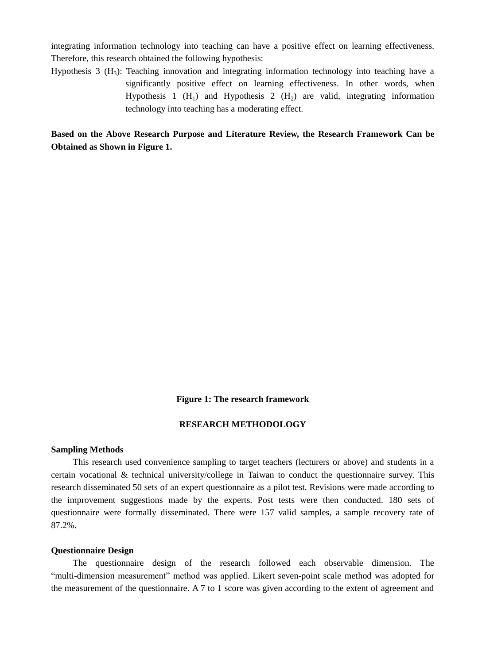integrating information technology into teaching can have a positive effect on learning effectiveness. Therefore, this research obtained the following hypothesis:

Hypothesis 3  $(H_3)$ : Teaching innovation and integrating information technology into teaching have a significantly positive effect on learning effectiveness. In other words, when Hypothesis 1  $(H_1)$  and Hypothesis 2  $(H_2)$  are valid, integrating information technology into teaching has a moderating effect.

**Based on the Above Research Purpose and Literature Review, the Research Framework Can be Obtained as Shown in Figure 1.**

#### **Figure 1: The research framework**

# **RESEARCH METHODOLOGY**

#### **Sampling Methods**

This research used convenience sampling to target teachers (lecturers or above) and students in a certain vocational & technical university/college in Taiwan to conduct the questionnaire survey. This research disseminated 50 sets of an expert questionnaire as a pilot test. Revisions were made according to the improvement suggestions made by the experts. Post tests were then conducted. 180 sets of questionnaire were formally disseminated. There were 157 valid samples, a sample recovery rate of 87.2%.

#### **Questionnaire Design**

The questionnaire design of the research followed each observable dimension. The "multi-dimension measurement" method was applied. Likert seven-point scale method was adopted for the measurement of the questionnaire. A 7 to 1 score was given according to the extent of agreement and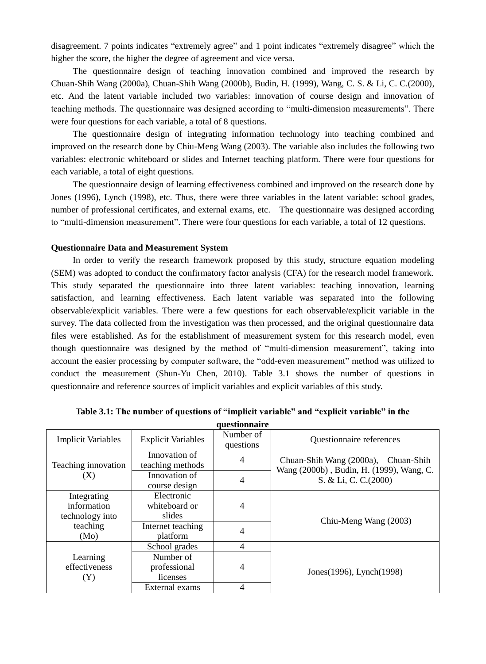disagreement. 7 points indicates "extremely agree" and 1 point indicates "extremely disagree" which the higher the score, the higher the degree of agreement and vice versa.

The questionnaire design of teaching innovation combined and improved the research by Chuan-Shih Wang (2000a), Chuan-Shih Wang (2000b), Budin, H. (1999), Wang, C. S. & Li, C. C.(2000), etc. And the latent variable included two variables: innovation of course design and innovation of teaching methods. The questionnaire was designed according to "multi-dimension measurements". There were four questions for each variable, a total of 8 questions.

The questionnaire design of integrating information technology into teaching combined and improved on the research done by Chiu-Meng Wang (2003). The variable also includes the following two variables: electronic whiteboard or slides and Internet teaching platform. There were four questions for each variable, a total of eight questions.

The questionnaire design of learning effectiveness combined and improved on the research done by Jones (1996), Lynch (1998), etc. Thus, there were three variables in the latent variable: school grades, number of professional certificates, and external exams, etc. The questionnaire was designed according to "multi-dimension measurement". There were four questions for each variable, a total of 12 questions.

#### **Questionnaire Data and Measurement System**

In order to verify the research framework proposed by this study, structure equation modeling (SEM) was adopted to conduct the confirmatory factor analysis (CFA) for the research model framework. This study separated the questionnaire into three latent variables: teaching innovation, learning satisfaction, and learning effectiveness. Each latent variable was separated into the following observable/explicit variables. There were a few questions for each observable/explicit variable in the survey. The data collected from the investigation was then processed, and the original questionnaire data files were established. As for the establishment of measurement system for this research model, even though questionnaire was designed by the method of "multi-dimension measurement", taking into account the easier processing by computer software, the "odd-even measurement" method was utilized to conduct the measurement (Shun-Yu Chen, 2010). Table 3.1 shows the number of questions in questionnaire and reference sources of implicit variables and explicit variables of this study.

|                                               |                                       | чисупоннан с           |                                                                                 |
|-----------------------------------------------|---------------------------------------|------------------------|---------------------------------------------------------------------------------|
| <b>Implicit Variables</b>                     | <b>Explicit Variables</b>             | Number of<br>questions | <b>Ouestionnaire</b> references                                                 |
| Teaching innovation                           | Innovation of<br>teaching methods     | 4                      | Chuan-Shih Wang (2000a), Chuan-Shih<br>Wang (2000b), Budin, H. (1999), Wang, C. |
| (X)                                           | Innovation of<br>course design        | 4                      | S. & Li, C. C. (2000)                                                           |
| Integrating<br>information<br>technology into | Electronic<br>whiteboard or<br>slides | 4                      | Chiu-Meng Wang (2003)                                                           |
| teaching<br>(Mo)                              | Internet teaching<br>platform         | 4                      |                                                                                 |
|                                               | School grades                         | 4                      |                                                                                 |
| Learning<br>effectiveness<br>(Y)              | Number of<br>professional<br>licenses | 4                      | Jones (1996), Lynch (1998)                                                      |
|                                               | External exams                        | 4                      |                                                                                 |

**Table 3.1: The number of questions of "implicit variable" and "explicit variable" in the questionnaire**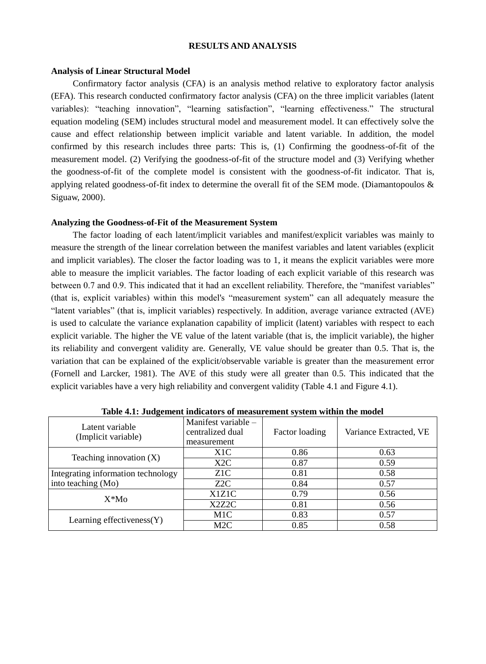### **RESULTS AND ANALYSIS**

### **Analysis of Linear Structural Model**

Confirmatory factor analysis (CFA) is an analysis method relative to exploratory factor analysis (EFA). This research conducted confirmatory factor analysis (CFA) on the three implicit variables (latent variables): "teaching innovation", "learning satisfaction", "learning effectiveness." The structural equation modeling (SEM) includes structural model and measurement model. It can effectively solve the cause and effect relationship between implicit variable and latent variable. In addition, the model confirmed by this research includes three parts: This is, (1) Confirming the goodness-of-fit of the measurement model. (2) Verifying the goodness-of-fit of the structure model and (3) Verifying whether the goodness-of-fit of the complete model is consistent with the goodness-of-fit indicator. That is, applying related goodness-of-fit index to determine the overall fit of the SEM mode. (Diamantopoulos & Siguaw, 2000).

#### **Analyzing the Goodness-of-Fit of the Measurement System**

The factor loading of each latent/implicit variables and manifest/explicit variables was mainly to measure the strength of the linear correlation between the manifest variables and latent variables (explicit and implicit variables). The closer the factor loading was to 1, it means the explicit variables were more able to measure the implicit variables. The factor loading of each explicit variable of this research was between 0.7 and 0.9. This indicated that it had an excellent reliability. Therefore, the "manifest variables" (that is, explicit variables) within this model's "measurement system" can all adequately measure the "latent variables" (that is, implicit variables) respectively. In addition, average variance extracted (AVE) is used to calculate the variance explanation capability of implicit (latent) variables with respect to each explicit variable. The higher the VE value of the latent variable (that is, the implicit variable), the higher its reliability and convergent validity are. Generally, VE value should be greater than 0.5. That is, the variation that can be explained of the explicit/observable variable is greater than the measurement error (Fornell and Larcker, 1981). The AVE of this study were all greater than 0.5. This indicated that the explicit variables have a very high reliability and convergent validity (Table 4.1 and Figure 4.1).

| Latent variable<br>(Implicit variable) | Manifest variable –<br>centralized dual<br>measurement | Factor loading | Variance Extracted, VE |
|----------------------------------------|--------------------------------------------------------|----------------|------------------------|
|                                        | X <sub>1</sub> C                                       | 0.86           | 0.63                   |
| Teaching innovation $(X)$              | X2C                                                    | 0.87           | 0.59                   |
| Integrating information technology     | Z <sub>1</sub> C                                       | 0.81           | 0.58                   |
| into teaching (Mo)                     | Z <sub>2C</sub>                                        | 0.84           | 0.57                   |
| $X^*Mo$                                | X1Z1C                                                  | 0.79           | 0.56                   |
|                                        | X2Z2C                                                  | 0.81           | 0.56                   |
|                                        | M1C                                                    | 0.83           | 0.57                   |
| Learning effectiveness $(Y)$           | M2C                                                    | 0.85           | 0.58                   |

**Table 4.1: Judgement indicators of measurement system within the model**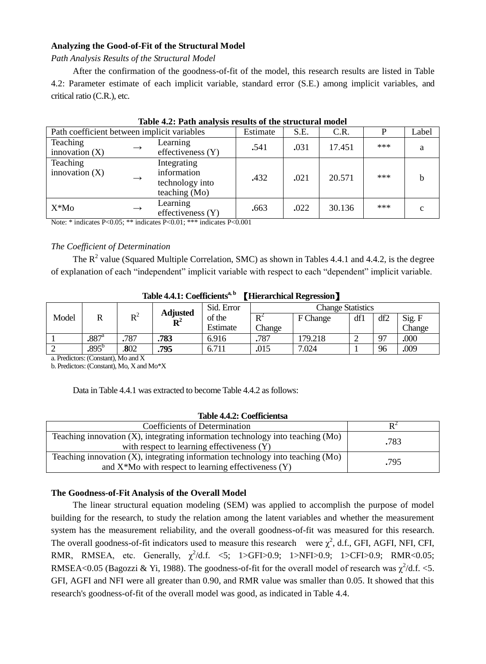# **Analyzing the Good-of-Fit of the Structural Model**

*Path Analysis Results of the Structural Model* 

After the confirmation of the goodness-of-fit of the model, this research results are listed in Table 4.2: Parameter estimate of each implicit variable, standard error (S.E.) among implicit variables, and critical ratio (C.R.), etc.

| THOIC HET I WAS MIND TOOMING OF THE STEWARD HIGH HOURS |  |                                                                  |          |      |        |     |       |  |  |
|--------------------------------------------------------|--|------------------------------------------------------------------|----------|------|--------|-----|-------|--|--|
| Path coefficient between implicit variables            |  |                                                                  | Estimate | S.E. | C.R.   |     | Label |  |  |
| Teaching<br>innovation $(X)$                           |  | Learning<br>effectiveness (Y)                                    | .541     | .031 | 17.451 | *** |       |  |  |
| Teaching<br>innovation $(X)$                           |  | Integrating<br>information<br>technology into<br>teaching $(Mo)$ | .432     | .021 | 20.571 | *** |       |  |  |
| X*Mo                                                   |  | Learning<br>effectiveness $(Y)$                                  | .663     | .022 | 30.136 | *** | C     |  |  |

|  |  |  |  |  | Table 4.2: Path analysis results of the structural model |  |
|--|--|--|--|--|----------------------------------------------------------|--|
|--|--|--|--|--|----------------------------------------------------------|--|

Note: \* indicates P<0.05; \*\* indicates P<0.01; \*\*\* indicates P<0.001

# *The Coefficient of Determination*

The  $R^2$  value (Squared Multiple Correlation, SMC) as shown in Tables 4.4.1 and 4.4.2, is the degree of explanation of each "independent" implicit variable with respect to each "dependent" implicit variable.

| 1000 7.7.1. Cochiciche<br>TIRTH CHICAL INCEPCSSION T |                     |                                   |            |                          |          |         |     |          |      |  |
|------------------------------------------------------|---------------------|-----------------------------------|------------|--------------------------|----------|---------|-----|----------|------|--|
|                                                      |                     |                                   | Sid. Error | <b>Change Statistics</b> |          |         |     |          |      |  |
| Model                                                |                     | <b>Adjusted</b><br>$\mathbf{D}^2$ | of the     | $\mathbf{R}^2$           | F Change | df1     | df2 | Sig. F   |      |  |
|                                                      |                     |                                   | Estimate   | Change                   |          |         |     | Change   |      |  |
|                                                      | $.887$ <sup>a</sup> | .787                              | .783       | 6.916                    | .787     | 179.218 |     | $\Omega$ | .000 |  |
|                                                      | $.895^{\circ}$      | .802                              | .795       | 6.711                    | .015     | 7.024   |     | 96       | .009 |  |

# **Table 4.4.1: Coefficientsa, b** 【**Hierarchical Regression**】

a. Predictors: (Constant), Mo and X

b. Predictors: (Constant), Mo, X and Mo\*X

Data in Table 4.4.1 was extracted to become Table 4.4.2 as follows:

#### **Table 4.4.2: Coefficientsa**

| Coefficients of Determination                                                                                                                    |      |
|--------------------------------------------------------------------------------------------------------------------------------------------------|------|
| Teaching innovation $(X)$ , integrating information technology into teaching $(MO)$<br>with respect to learning effectiveness (Y)                | .783 |
| Teaching innovation $(X)$ , integrating information technology into teaching $(Mo)$<br>and $X^*M$ o with respect to learning effectiveness $(Y)$ | .795 |

#### **The Goodness-of-Fit Analysis of the Overall Model**

The linear structural equation modeling (SEM) was applied to accomplish the purpose of model building for the research, to study the relation among the latent variables and whether the measurement system has the measurement reliability, and the overall goodness-of-fit was measured for this research. The overall goodness-of-fit indicators used to measure this research were  $\chi^2$ , d.f., GFI, AGFI, NFI, CFI, RMR, RMSEA, etc. Generally,  $\chi^2/d.f. \le 5$ ; 1>GFI>0.9; 1>NFI>0.9; 1>CFI>0.9; RMR<0.05; RMSEA<0.05 (Bagozzi & Yi, 1988). The goodness-of-fit for the overall model of research was  $\chi^2/d.f. \ll 5$ . GFI, AGFI and NFI were all greater than 0.90, and RMR value was smaller than 0.05. It showed that this research's goodness-of-fit of the overall model was good, as indicated in Table 4.4.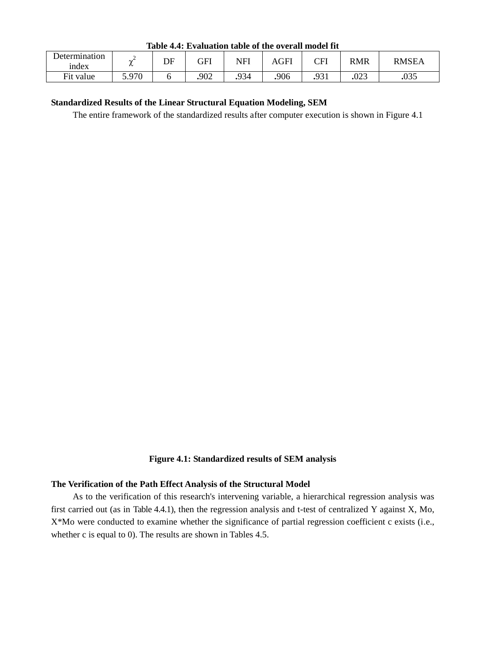**Table 4.4: Evaluation table of the overall model fit**

| Determination<br><sub>1</sub> ndex | ∼     | DE | GFI  | NFI  | AGFI | <b>CFI</b> | <b>RMR</b>  | RMSEA |
|------------------------------------|-------|----|------|------|------|------------|-------------|-------|
| Fit value                          | 5 Q70 |    | .902 | .934 | 906  | .931       | ററാ<br>د∠∪. | .035  |

# **Standardized Results of the Linear Structural Equation Modeling, SEM**

The entire framework of the standardized results after computer execution is shown in Figure 4.1

#### **Figure 4.1: Standardized results of SEM analysis**

#### **The Verification of the Path Effect Analysis of the Structural Model**

As to the verification of this research's intervening variable, a hierarchical regression analysis was first carried out (as in Table 4.4.1), then the regression analysis and t-test of centralized Y against X, Mo, X\*Mo were conducted to examine whether the significance of partial regression coefficient c exists (i.e., whether c is equal to 0). The results are shown in Tables 4.5.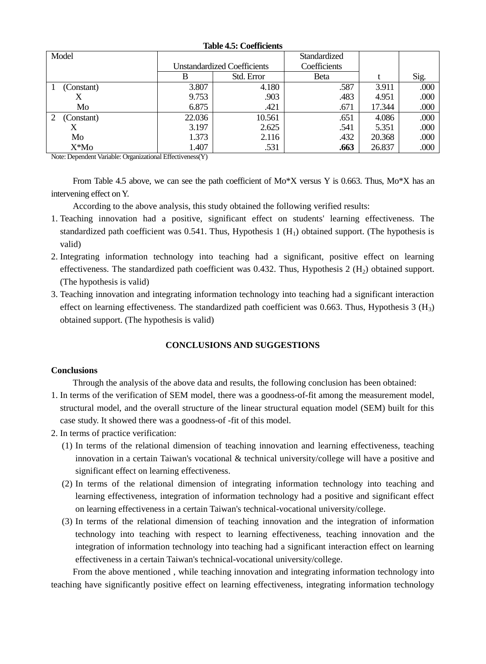| Table 7.9. Cochiclents |        |                                    |              |        |      |  |  |  |  |  |  |
|------------------------|--------|------------------------------------|--------------|--------|------|--|--|--|--|--|--|
| Model                  |        |                                    | Standardized |        |      |  |  |  |  |  |  |
|                        |        | <b>Unstandardized Coefficients</b> | Coefficients |        |      |  |  |  |  |  |  |
|                        | В      | Std. Error                         | Beta         |        | Sig. |  |  |  |  |  |  |
| (Constant)             | 3.807  | 4.180                              | .587         | 3.911  | .000 |  |  |  |  |  |  |
|                        | 9.753  | .903                               | .483         | 4.951  | .000 |  |  |  |  |  |  |
| Mo                     | 6.875  | .421                               | .671         | 17.344 | .000 |  |  |  |  |  |  |
| (Constant)             | 22.036 | 10.561                             | .651         | 4.086  | .000 |  |  |  |  |  |  |
|                        | 3.197  | 2.625                              | .541         | 5.351  | .000 |  |  |  |  |  |  |
| Mo                     | 1.373  | 2.116                              | .432         | 20.368 | .000 |  |  |  |  |  |  |
| $X^*Mo$                | 1.407  | .531                               | .663         | 26.837 | .000 |  |  |  |  |  |  |

**Table 4.5: Coefficients**

Note: Dependent Variable: Organizational Effectiveness(Y)

From Table 4.5 above, we can see the path coefficient of  $Mo^*X$  versus Y is 0.663. Thus,  $Mo^*X$  has an intervening effect on Y.

According to the above analysis, this study obtained the following verified results:

- 1. Teaching innovation had a positive, significant effect on students' learning effectiveness. The standardized path coefficient was  $0.541$ . Thus, Hypothesis 1 (H<sub>1</sub>) obtained support. (The hypothesis is valid)
- 2. Integrating information technology into teaching had a significant, positive effect on learning effectiveness. The standardized path coefficient was 0.432. Thus, Hypothesis 2  $(H<sub>2</sub>)$  obtained support. (The hypothesis is valid)
- 3. Teaching innovation and integrating information technology into teaching had a significant interaction effect on learning effectiveness. The standardized path coefficient was 0.663. Thus, Hypothesis  $3 \text{ (H}_3)$ obtained support. (The hypothesis is valid)

# **CONCLUSIONS AND SUGGESTIONS**

#### **Conclusions**

Through the analysis of the above data and results, the following conclusion has been obtained:

- 1. In terms of the verification of SEM model, there was a goodness-of-fit among the measurement model, structural model, and the overall structure of the linear structural equation model (SEM) built for this case study. It showed there was a goodness-of -fit of this model.
- 2. In terms of practice verification:
	- (1) In terms of the relational dimension of teaching innovation and learning effectiveness, teaching innovation in a certain Taiwan's vocational & technical university/college will have a positive and significant effect on learning effectiveness.
	- (2) In terms of the relational dimension of integrating information technology into teaching and learning effectiveness, integration of information technology had a positive and significant effect on learning effectiveness in a certain Taiwan's technical-vocational university/college.
	- (3) In terms of the relational dimension of teaching innovation and the integration of information technology into teaching with respect to learning effectiveness, teaching innovation and the integration of information technology into teaching had a significant interaction effect on learning effectiveness in a certain Taiwan's technical-vocational university/college.

From the above mentioned , while teaching innovation and integrating information technology into teaching have significantly positive effect on learning effectiveness, integrating information technology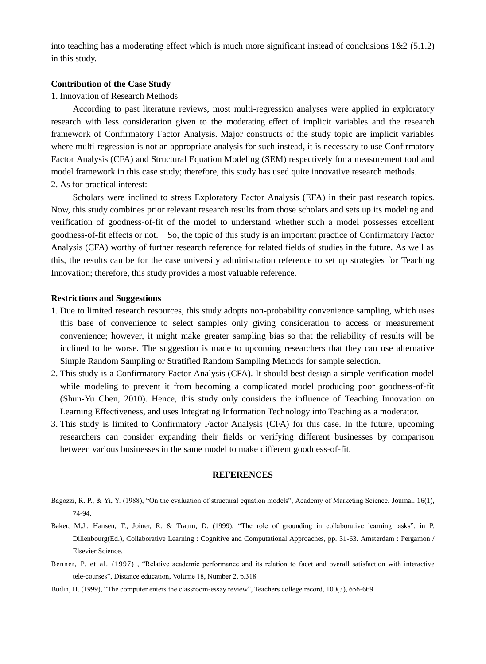into teaching has a moderating effect which is much more significant instead of conclusions  $1\&2$  (5.1.2) in this study.

#### **Contribution of the Case Study**

#### 1. Innovation of Research Methods

According to past literature reviews, most multi-regression analyses were applied in exploratory research with less consideration given to the moderating effect of implicit variables and the research framework of Confirmatory Factor Analysis. Major constructs of the study topic are implicit variables where multi-regression is not an appropriate analysis for such instead, it is necessary to use Confirmatory Factor Analysis (CFA) and Structural Equation Modeling (SEM) respectively for a measurement tool and model framework in this case study; therefore, this study has used quite innovative research methods. 2. As for practical interest:

Scholars were inclined to stress Exploratory Factor Analysis (EFA) in their past research topics. Now, this study combines prior relevant research results from those scholars and sets up its modeling and verification of goodness-of-fit of the model to understand whether such a model possesses excellent goodness-of-fit effects or not. So, the topic of this study is an important practice of Confirmatory Factor Analysis (CFA) worthy of further research reference for related fields of studies in the future. As well as this, the results can be for the case university administration reference to set up strategies for Teaching Innovation; therefore, this study provides a most valuable reference.

#### **Restrictions and Suggestions**

- 1. Due to limited research resources, this study adopts non-probability convenience sampling, which uses this base of convenience to select samples only giving consideration to access or measurement convenience; however, it might make greater sampling bias so that the reliability of results will be inclined to be worse. The suggestion is made to upcoming researchers that they can use alternative Simple Random Sampling or Stratified Random Sampling Methods for sample selection.
- 2. This study is a Confirmatory Factor Analysis (CFA). It should best design a simple verification model while modeling to prevent it from becoming a complicated model producing poor goodness-of-fit (Shun-Yu Chen, 2010). Hence, this study only considers the influence of Teaching Innovation on Learning Effectiveness, and uses Integrating Information Technology into Teaching as a moderator.
- 3. This study is limited to Confirmatory Factor Analysis (CFA) for this case. In the future, upcoming researchers can consider expanding their fields or verifying different businesses by comparison between various businesses in the same model to make different goodness-of-fit.

#### **REFERENCES**

- Bagozzi, R. P., & Yi, Y. (1988), "On the evaluation of structural equation models", Academy of Marketing Science. Journal. 16(1), 74-94.
- Baker, M.J., Hansen, T., Joiner, R. & Traum, D. (1999). "The role of grounding in collaborative learning tasks", in P. Dillenbourg(Ed.), Collaborative Learning : Cognitive and Computational Approaches, pp. 31-63. Amsterdam : Pergamon / Elsevier Science.
- Benner, P. et al. (1997) , "Relative academic performance and its relation to facet and overall satisfaction with interactive tele-courses", Distance education, Volume 18, Number 2, p.318
- Budin, H. (1999), "The computer enters the classroom-essay review", Teachers college record, 100(3), 656-669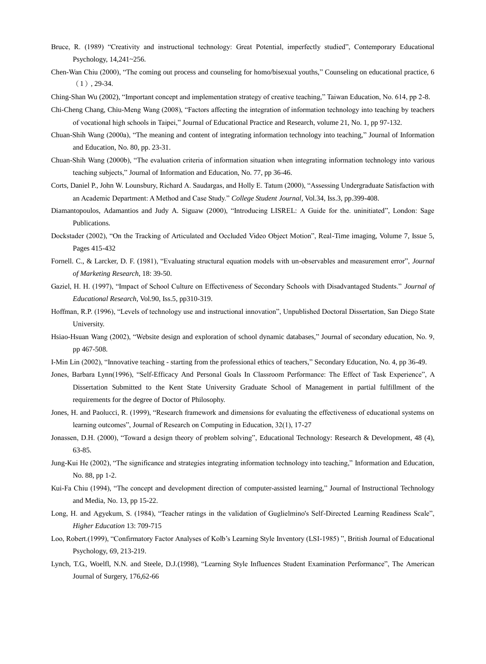- Bruce, R. (1989) "Creativity and instructional technology: Great Potential, imperfectly studied", Contemporary Educational Psychology, 14,241~256.
- Chen-Wan Chiu (2000), "The coming out process and counseling for homo/bisexual youths," Counseling on educational practice, 6  $(1)$ , 29-34.
- Ching-Shan Wu (2002), "Important concept and implementation strategy of creative teaching," Taiwan Education, No. 614, pp 2-8.
- Chi-Cheng Chang, Chiu-Meng Wang (2008), "Factors affecting the integration of information technology into teaching by teachers of vocational high schools in Taipei," Journal of Educational Practice and Research, volume 21, No. 1, pp 97-132.
- Chuan-Shih Wang (2000a), "The meaning and content of integrating information technology into teaching," Journal of Information and Education, No. 80, pp. 23-31.
- Chuan-Shih Wang (2000b), "The evaluation criteria of information situation when integrating information technology into various teaching subjects," Journal of Information and Education, No. 77, pp 36-46.
- Corts, Daniel P., John W. Lounsbury, Richard A. Saudargas, and Holly E. Tatum (2000), "Assessing Undergraduate Satisfaction with an Academic Department: A Method and Case Study." *College Student Journal,* Vol.34, Iss.3, pp.399-408.
- Diamantopoulos, Adamantios and Judy A. Siguaw (2000), "Introducing LISREL: A Guide for the. uninitiated", London: Sage Publications.
- Dockstader (2002), "On the Tracking of Articulated and Occluded Video Object Motion", Real-Time imaging, Volume 7, Issue 5, Pages 415-432
- Fornell. C., & Larcker, D. F. (1981), "Evaluating structural equation models with un-observables and measurement error", *Journal of Marketing Research*, 18: 39-50.
- Gaziel, H. H. (1997), "Impact of School Culture on Effectiveness of Secondary Schools with Disadvantaged Students." *Journal of Educational Research*, Vol.90, Iss.5, pp310-319.
- Hoffman, R.P. (1996), "Levels of technology use and instructional innovation", Unpublished Doctoral Dissertation, San Diego State University.
- Hsiao-Hsuan Wang (2002), "Website design and exploration of school dynamic databases," Journal of secondary education, No. 9, pp 467-508.
- I-Min Lin (2002), "Innovative teaching starting from the professional ethics of teachers," Secondary Education, No. 4, pp 36-49.
- Jones, Barbara Lynn(1996), "Self-Efficacy And Personal Goals In Classroom Performance: The Effect of Task Experience", A Dissertation Submitted to the Kent State University Graduate School of Management in partial fulfillment of the requirements for the degree of Doctor of Philosophy.
- Jones, H. and Paolucci, R. (1999), "Research framework and dimensions for evaluating the effectiveness of educational systems on learning outcomes", Journal of Research on Computing in Education, 32(1), 17-27
- Jonassen, D.H. (2000), "Toward a design theory of problem solving", Educational Technology: Research & Development, 48 (4), 63-85.
- Jung-Kui He (2002), "The significance and strategies integrating information technology into teaching," Information and Education, No. 88, pp 1-2.
- Kui-Fa Chiu (1994), "The concept and development direction of computer-assisted learning," Journal of Instructional Technology and Media, No. 13, pp 15-22.
- Long, H. and Agyekum, S. (1984), "Teacher ratings in the validation of Guglielmino's Self-Directed Learning Readiness Scale", *Higher Education* 13: 709-715
- Loo, Robert.(1999), "Confirmatory Factor Analyses of Kolb's Learning Style Inventory (LSI-1985) ", British Journal of Educational Psychology, 69, 213-219.
- Lynch, T.G., Woelfl, N.N. and Steele, D.J.(1998), "Learning Style Influences Student Examination Performance", The American Journal of Surgery, 176,62-66